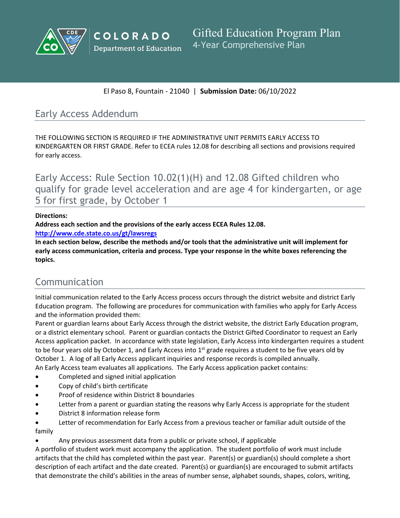



El Paso 8, Fountain - 21040 | **Submission Date:** 06/10/2022

# Early Access Addendum

THE FOLLOWING SECTION IS REQUIRED IF THE ADMINISTRATIVE UNIT PERMITS EARLY ACCESS TO KINDERGARTEN OR FIRST GRADE. Refer to ECEA rules 12.08 for describing all sections and provisions required for early access.

Early Access: Rule Section 10.02(1)(H) and 12.08 Gifted children who qualify for grade level acceleration and are age 4 for kindergarten, or age 5 for first grade, by October 1

### **Directions:**

**Address each section and the provisions of the early access ECEA Rules 12.08.** 

**<http://www.cde.state.co.us/gt/lawsregs>**

**In each section below, describe the methods and/or tools that the administrative unit will implement for early access communication, criteria and process. Type your response in the white boxes referencing the topics.**

# Communication

Initial communication related to the Early Access process occurs through the district website and district Early Education program. The following are procedures for communication with families who apply for Early Access and the information provided them:

Parent or guardian learns about Early Access through the district website, the district Early Education program, or a district elementary school. Parent or guardian contacts the District Gifted Coordinator to request an Early Access application packet. In accordance with state legislation, Early Access into kindergarten requires a student to be four years old by October 1, and Early Access into  $1^{st}$  grade requires a student to be five years old by October 1. A log of all Early Access applicant inquiries and response records is compiled annually. An Early Access team evaluates all applications. The Early Access application packet contains:

- Completed and signed initial application
- Copy of child's birth certificate
- Proof of residence within District 8 boundaries
- Letter from a parent or guardian stating the reasons why Early Access is appropriate for the student
- District 8 information release form
- Letter of recommendation for Early Access from a previous teacher or familiar adult outside of the family

Any previous assessment data from a public or private school, if applicable

A portfolio of student work must accompany the application. The student portfolio of work must include artifacts that the child has completed within the past year. Parent(s) or guardian(s) should complete a short description of each artifact and the date created. Parent(s) or guardian(s) are encouraged to submit artifacts that demonstrate the child's abilities in the areas of number sense, alphabet sounds, shapes, colors, writing,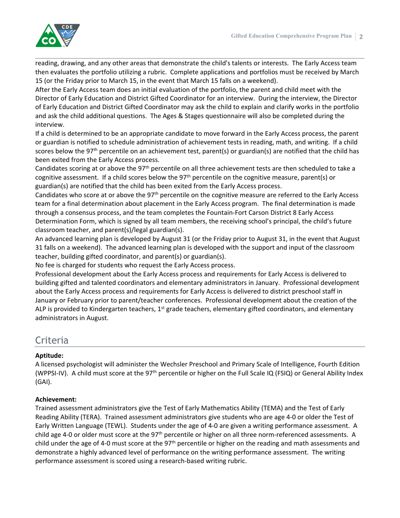

reading, drawing, and any other areas that demonstrate the child's talents or interests. The Early Access team then evaluates the portfolio utilizing a rubric. Complete applications and portfolios must be received by March 15 (or the Friday prior to March 15, in the event that March 15 falls on a weekend).

After the Early Access team does an initial evaluation of the portfolio, the parent and child meet with the Director of Early Education and District Gifted Coordinator for an interview. During the interview, the Director of Early Education and District Gifted Coordinator may ask the child to explain and clarify works in the portfolio and ask the child additional questions. The Ages & Stages questionnaire will also be completed during the interview.

If a child is determined to be an appropriate candidate to move forward in the Early Access process, the parent or guardian is notified to schedule administration of achievement tests in reading, math, and writing. If a child scores below the 97<sup>th</sup> percentile on an achievement test, parent(s) or guardian(s) are notified that the child has been exited from the Early Access process.

Candidates scoring at or above the 97th percentile on all three achievement tests are then scheduled to take a cognitive assessment. If a child scores below the 97th percentile on the cognitive measure, parent(s) or guardian(s) are notified that the child has been exited from the Early Access process.

Candidates who score at or above the 97th percentile on the cognitive measure are referred to the Early Access team for a final determination about placement in the Early Access program. The final determination is made through a consensus process, and the team completes the Fountain-Fort Carson District 8 Early Access Determination Form, which is signed by all team members, the receiving school's principal, the child's future classroom teacher, and parent(s)/legal guardian(s).

An advanced learning plan is developed by August 31 (or the Friday prior to August 31, in the event that August 31 falls on a weekend). The advanced learning plan is developed with the support and input of the classroom teacher, building gifted coordinator, and parent(s) or guardian(s).

No fee is charged for students who request the Early Access process.

Professional development about the Early Access process and requirements for Early Access is delivered to building gifted and talented coordinators and elementary administrators in January. Professional development about the Early Access process and requirements for Early Access is delivered to district preschool staff in January or February prior to parent/teacher conferences. Professional development about the creation of the ALP is provided to Kindergarten teachers, 1<sup>st</sup> grade teachers, elementary gifted coordinators, and elementary administrators in August.

# Criteria

### **Aptitude:**

A licensed psychologist will administer the Wechsler Preschool and Primary Scale of Intelligence, Fourth Edition (WPPSI-IV). A child must score at the 97th percentile or higher on the Full Scale IQ (FSIQ) or General Ability Index (GAI).

### **Achievement:**

Trained assessment administrators give the Test of Early Mathematics Ability (TEMA) and the Test of Early Reading Ability (TERA). Trained assessment administrators give students who are age 4-0 or older the Test of Early Written Language (TEWL). Students under the age of 4-0 are given a writing performance assessment. A child age 4-0 or older must score at the 97<sup>th</sup> percentile or higher on all three norm-referenced assessments. A child under the age of 4-0 must score at the 97th percentile or higher on the reading and math assessments and demonstrate a highly advanced level of performance on the writing performance assessment. The writing performance assessment is scored using a research-based writing rubric.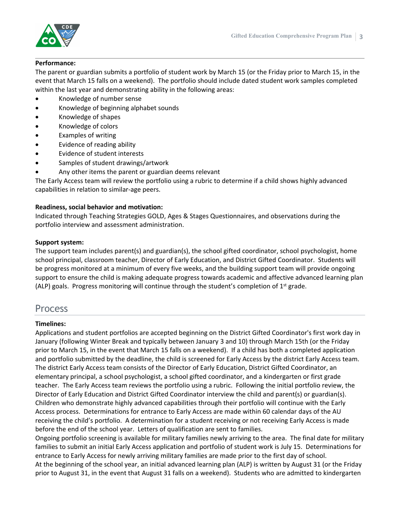

#### **Performance:**

The parent or guardian submits a portfolio of student work by March 15 (or the Friday prior to March 15, in the event that March 15 falls on a weekend). The portfolio should include dated student work samples completed within the last year and demonstrating ability in the following areas:

- Knowledge of number sense
- Knowledge of beginning alphabet sounds
- Knowledge of shapes
- Knowledge of colors
- Examples of writing
- Evidence of reading ability
- Evidence of student interests
- Samples of student drawings/artwork
- Any other items the parent or guardian deems relevant

The Early Access team will review the portfolio using a rubric to determine if a child shows highly advanced capabilities in relation to similar-age peers.

#### **Readiness, social behavior and motivation:**

Indicated through Teaching Strategies GOLD, Ages & Stages Questionnaires, and observations during the portfolio interview and assessment administration.

#### **Support system:**

The support team includes parent(s) and guardian(s), the school gifted coordinator, school psychologist, home school principal, classroom teacher, Director of Early Education, and District Gifted Coordinator. Students will be progress monitored at a minimum of every five weeks, and the building support team will provide ongoing support to ensure the child is making adequate progress towards academic and affective advanced learning plan (ALP) goals. Progress monitoring will continue through the student's completion of 1<sup>st</sup> grade.

## Process

#### **Timelines:**

Applications and student portfolios are accepted beginning on the District Gifted Coordinator's first work day in January (following Winter Break and typically between January 3 and 10) through March 15th (or the Friday prior to March 15, in the event that March 15 falls on a weekend). If a child has both a completed application and portfolio submitted by the deadline, the child is screened for Early Access by the district Early Access team. The district Early Access team consists of the Director of Early Education, District Gifted Coordinator, an elementary principal, a school psychologist, a school gifted coordinator, and a kindergarten or first grade teacher. The Early Access team reviews the portfolio using a rubric. Following the initial portfolio review, the Director of Early Education and District Gifted Coordinator interview the child and parent(s) or guardian(s). Children who demonstrate highly advanced capabilities through their portfolio will continue with the Early Access process. Determinations for entrance to Early Access are made within 60 calendar days of the AU receiving the child's portfolio. A determination for a student receiving or not receiving Early Access is made before the end of the school year. Letters of qualification are sent to families.

Ongoing portfolio screening is available for military families newly arriving to the area. The final date for military families to submit an initial Early Access application and portfolio of student work is July 15. Determinations for entrance to Early Access for newly arriving military families are made prior to the first day of school. At the beginning of the school year, an initial advanced learning plan (ALP) is written by August 31 (or the Friday prior to August 31, in the event that August 31 falls on a weekend). Students who are admitted to kindergarten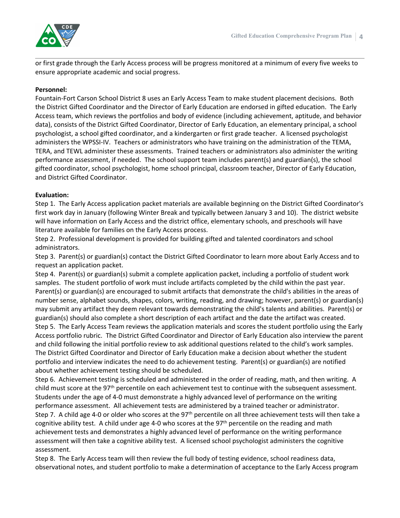

or first grade through the Early Access process will be progress monitored at a minimum of every five weeks to ensure appropriate academic and social progress.

#### **Personnel:**

Fountain-Fort Carson School District 8 uses an Early Access Team to make student placement decisions. Both the District Gifted Coordinator and the Director of Early Education are endorsed in gifted education. The Early Access team, which reviews the portfolios and body of evidence (including achievement, aptitude, and behavior data), consists of the District Gifted Coordinator, Director of Early Education, an elementary principal, a school psychologist, a school gifted coordinator, and a kindergarten or first grade teacher. A licensed psychologist administers the WPSSI-IV. Teachers or administrators who have training on the administration of the TEMA, TERA, and TEWL administer these assessments. Trained teachers or administrators also administer the writing performance assessment, if needed. The school support team includes parent(s) and guardian(s), the school gifted coordinator, school psychologist, home school principal, classroom teacher, Director of Early Education, and District Gifted Coordinator.

#### **Evaluation:**

Step 1. The Early Access application packet materials are available beginning on the District Gifted Coordinator's first work day in January (following Winter Break and typically between January 3 and 10). The district website will have information on Early Access and the district office, elementary schools, and preschools will have literature available for families on the Early Access process.

Step 2. Professional development is provided for building gifted and talented coordinators and school administrators.

Step 3. Parent(s) or guardian(s) contact the District Gifted Coordinator to learn more about Early Access and to request an application packet.

Step 4. Parent(s) or guardian(s) submit a complete application packet, including a portfolio of student work samples. The student portfolio of work must include artifacts completed by the child within the past year. Parent(s) or guardian(s) are encouraged to submit artifacts that demonstrate the child's abilities in the areas of number sense, alphabet sounds, shapes, colors, writing, reading, and drawing; however, parent(s) or guardian(s) may submit any artifact they deem relevant towards demonstrating the child's talents and abilities. Parent(s) or guardian(s) should also complete a short description of each artifact and the date the artifact was created. Step 5. The Early Access Team reviews the application materials and scores the student portfolio using the Early Access portfolio rubric. The District Gifted Coordinator and Director of Early Education also interview the parent and child following the initial portfolio review to ask additional questions related to the child's work samples. The District Gifted Coordinator and Director of Early Education make a decision about whether the student portfolio and interview indicates the need to do achievement testing. Parent(s) or guardian(s) are notified about whether achievement testing should be scheduled.

Step 6. Achievement testing is scheduled and administered in the order of reading, math, and then writing. A child must score at the 97<sup>th</sup> percentile on each achievement test to continue with the subsequent assessment. Students under the age of 4-0 must demonstrate a highly advanced level of performance on the writing performance assessment. All achievement tests are administered by a trained teacher or administrator. Step 7. A child age 4-0 or older who scores at the 97<sup>th</sup> percentile on all three achievement tests will then take a cognitive ability test. A child under age 4-0 who scores at the 97<sup>th</sup> percentile on the reading and math achievement tests and demonstrates a highly advanced level of performance on the writing performance assessment will then take a cognitive ability test. A licensed school psychologist administers the cognitive assessment.

Step 8. The Early Access team will then review the full body of testing evidence, school readiness data, observational notes, and student portfolio to make a determination of acceptance to the Early Access program